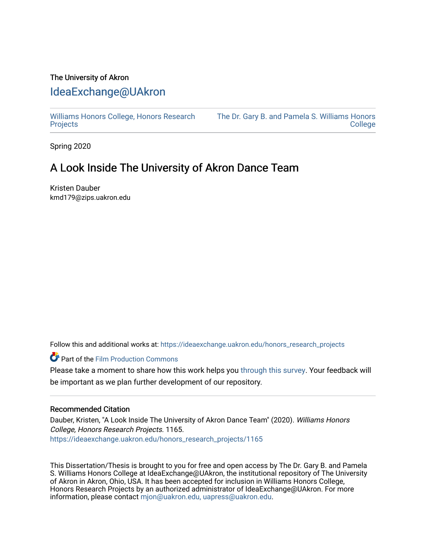# The University of Akron [IdeaExchange@UAkron](https://ideaexchange.uakron.edu/)

[Williams Honors College, Honors Research](https://ideaexchange.uakron.edu/honors_research_projects)  **[Projects](https://ideaexchange.uakron.edu/honors_research_projects)** 

[The Dr. Gary B. and Pamela S. Williams Honors](https://ideaexchange.uakron.edu/honorscollege_ideas)  [College](https://ideaexchange.uakron.edu/honorscollege_ideas) 

Spring 2020

# A Look Inside The University of Akron Dance Team

Kristen Dauber kmd179@zips.uakron.edu

Follow this and additional works at: [https://ideaexchange.uakron.edu/honors\\_research\\_projects](https://ideaexchange.uakron.edu/honors_research_projects?utm_source=ideaexchange.uakron.edu%2Fhonors_research_projects%2F1165&utm_medium=PDF&utm_campaign=PDFCoverPages) 

Part of the [Film Production Commons](http://network.bepress.com/hgg/discipline/1290?utm_source=ideaexchange.uakron.edu%2Fhonors_research_projects%2F1165&utm_medium=PDF&utm_campaign=PDFCoverPages) 

Please take a moment to share how this work helps you [through this survey](http://survey.az1.qualtrics.com/SE/?SID=SV_eEVH54oiCbOw05f&URL=https://ideaexchange.uakron.edu/honors_research_projects/1165). Your feedback will be important as we plan further development of our repository.

### Recommended Citation

Dauber, Kristen, "A Look Inside The University of Akron Dance Team" (2020). Williams Honors College, Honors Research Projects. 1165. [https://ideaexchange.uakron.edu/honors\\_research\\_projects/1165](https://ideaexchange.uakron.edu/honors_research_projects/1165?utm_source=ideaexchange.uakron.edu%2Fhonors_research_projects%2F1165&utm_medium=PDF&utm_campaign=PDFCoverPages) 

This Dissertation/Thesis is brought to you for free and open access by The Dr. Gary B. and Pamela S. Williams Honors College at IdeaExchange@UAkron, the institutional repository of The University of Akron in Akron, Ohio, USA. It has been accepted for inclusion in Williams Honors College, Honors Research Projects by an authorized administrator of IdeaExchange@UAkron. For more information, please contact [mjon@uakron.edu, uapress@uakron.edu.](mailto:mjon@uakron.edu,%20uapress@uakron.edu)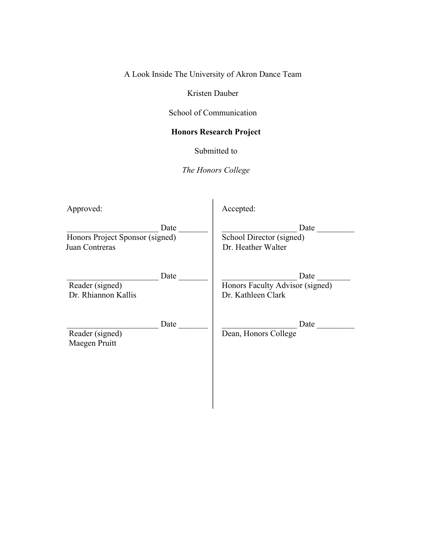A Look Inside The University of Akron Dance Team

Kristen Dauber

School of Communication

# **Honors Research Project**

Submitted to

*The Honors College*

| Approved:                                | Accepted:                       |
|------------------------------------------|---------------------------------|
| Date                                     | Date                            |
| Honors Project Sponsor (signed)          | School Director (signed)        |
| Juan Contreras                           | Dr. Heather Walter              |
| Date                                     | Date                            |
| Reader (signed)                          | Honors Faculty Advisor (signed) |
| Dr. Rhiannon Kallis                      | Dr. Kathleen Clark              |
| Date<br>Reader (signed)<br>Maegen Pruitt | Date<br>Dean, Honors College    |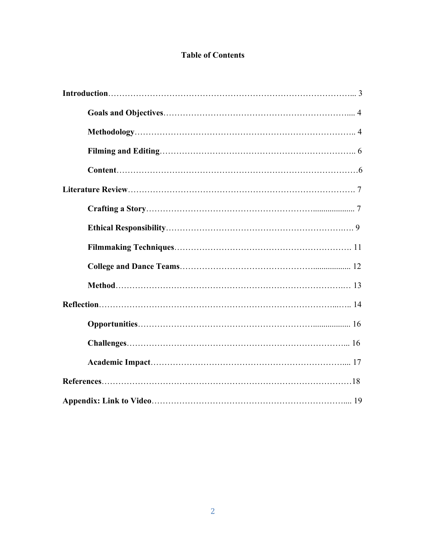# **Table of Contents**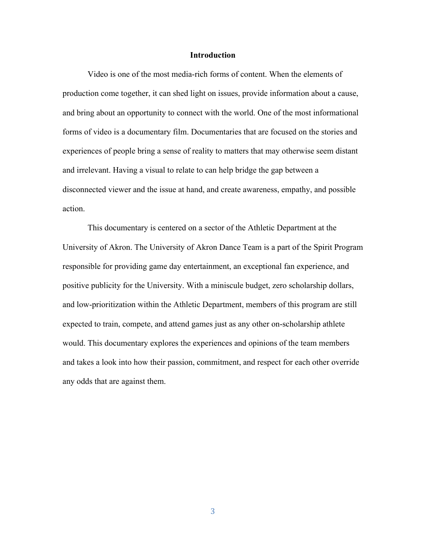#### **Introduction**

Video is one of the most media-rich forms of content. When the elements of production come together, it can shed light on issues, provide information about a cause, and bring about an opportunity to connect with the world. One of the most informational forms of video is a documentary film. Documentaries that are focused on the stories and experiences of people bring a sense of reality to matters that may otherwise seem distant and irrelevant. Having a visual to relate to can help bridge the gap between a disconnected viewer and the issue at hand, and create awareness, empathy, and possible action.

This documentary is centered on a sector of the Athletic Department at the University of Akron. The University of Akron Dance Team is a part of the Spirit Program responsible for providing game day entertainment, an exceptional fan experience, and positive publicity for the University. With a miniscule budget, zero scholarship dollars, and low-prioritization within the Athletic Department, members of this program are still expected to train, compete, and attend games just as any other on-scholarship athlete would. This documentary explores the experiences and opinions of the team members and takes a look into how their passion, commitment, and respect for each other override any odds that are against them.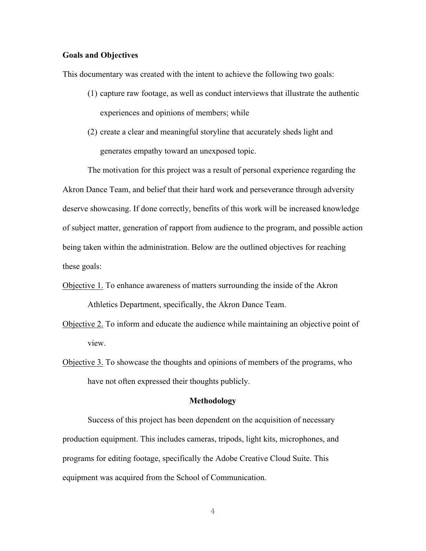# **Goals and Objectives**

This documentary was created with the intent to achieve the following two goals:

- (1) capture raw footage, as well as conduct interviews that illustrate the authentic experiences and opinions of members; while
- (2) create a clear and meaningful storyline that accurately sheds light and generates empathy toward an unexposed topic.

The motivation for this project was a result of personal experience regarding the Akron Dance Team, and belief that their hard work and perseverance through adversity deserve showcasing. If done correctly, benefits of this work will be increased knowledge of subject matter, generation of rapport from audience to the program, and possible action being taken within the administration. Below are the outlined objectives for reaching these goals:

- Objective 1. To enhance awareness of matters surrounding the inside of the Akron Athletics Department, specifically, the Akron Dance Team.
- Objective 2. To inform and educate the audience while maintaining an objective point of view.
- Objective 3. To showcase the thoughts and opinions of members of the programs, who have not often expressed their thoughts publicly.

#### **Methodology**

Success of this project has been dependent on the acquisition of necessary production equipment. This includes cameras, tripods, light kits, microphones, and programs for editing footage, specifically the Adobe Creative Cloud Suite. This equipment was acquired from the School of Communication.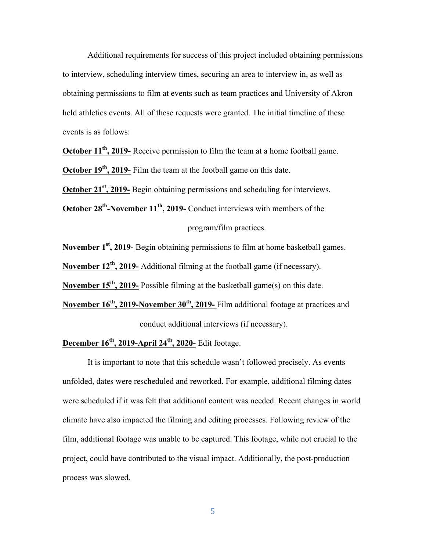Additional requirements for success of this project included obtaining permissions to interview, scheduling interview times, securing an area to interview in, as well as obtaining permissions to film at events such as team practices and University of Akron held athletics events. All of these requests were granted. The initial timeline of these events is as follows:

**October 11th, 2019-** Receive permission to film the team at a home football game. **October 19th, 2019-** Film the team at the football game on this date.

**October 21<sup>st</sup>, 2019-** Begin obtaining permissions and scheduling for interviews.

**October 28<sup>th</sup>-November 11<sup>th</sup>, 2019-** Conduct interviews with members of the

program/film practices.

**November 1st, 2019-** Begin obtaining permissions to film at home basketball games.

**November 12th, 2019-** Additional filming at the football game (if necessary).

**November 15th, 2019-** Possible filming at the basketball game(s) on this date.

November 16<sup>th</sup>, 2019-November 30<sup>th</sup>, 2019- Film additional footage at practices and conduct additional interviews (if necessary).

**December 16th, 2019-April 24th, 2020-** Edit footage.

It is important to note that this schedule wasn't followed precisely. As events unfolded, dates were rescheduled and reworked. For example, additional filming dates were scheduled if it was felt that additional content was needed. Recent changes in world climate have also impacted the filming and editing processes. Following review of the film, additional footage was unable to be captured. This footage, while not crucial to the project, could have contributed to the visual impact. Additionally, the post-production process was slowed.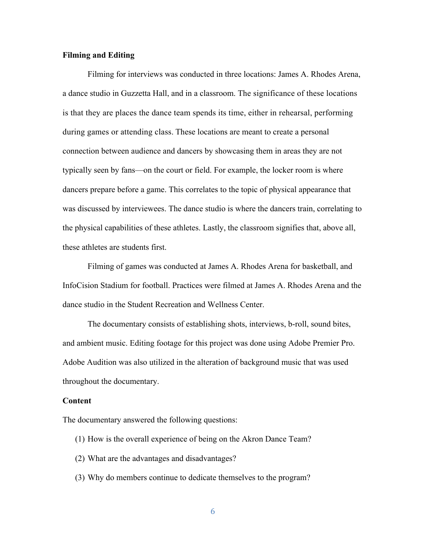# **Filming and Editing**

Filming for interviews was conducted in three locations: James A. Rhodes Arena, a dance studio in Guzzetta Hall, and in a classroom. The significance of these locations is that they are places the dance team spends its time, either in rehearsal, performing during games or attending class. These locations are meant to create a personal connection between audience and dancers by showcasing them in areas they are not typically seen by fans—on the court or field. For example, the locker room is where dancers prepare before a game. This correlates to the topic of physical appearance that was discussed by interviewees. The dance studio is where the dancers train, correlating to the physical capabilities of these athletes. Lastly, the classroom signifies that, above all, these athletes are students first.

Filming of games was conducted at James A. Rhodes Arena for basketball, and InfoCision Stadium for football. Practices were filmed at James A. Rhodes Arena and the dance studio in the Student Recreation and Wellness Center.

The documentary consists of establishing shots, interviews, b-roll, sound bites, and ambient music. Editing footage for this project was done using Adobe Premier Pro. Adobe Audition was also utilized in the alteration of background music that was used throughout the documentary.

#### **Content**

The documentary answered the following questions:

- (1) How is the overall experience of being on the Akron Dance Team?
- (2) What are the advantages and disadvantages?
- (3) Why do members continue to dedicate themselves to the program?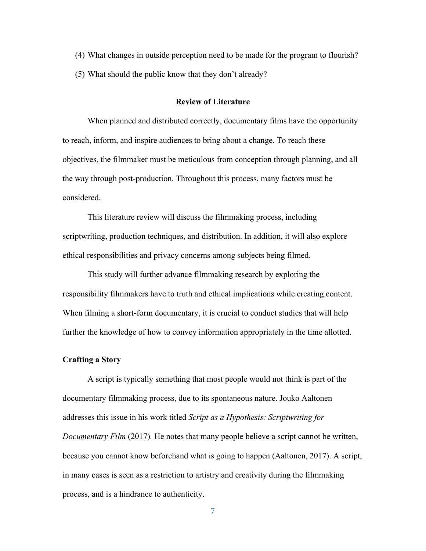- (4) What changes in outside perception need to be made for the program to flourish?
- (5) What should the public know that they don't already?

#### **Review of Literature**

When planned and distributed correctly, documentary films have the opportunity to reach, inform, and inspire audiences to bring about a change. To reach these objectives, the filmmaker must be meticulous from conception through planning, and all the way through post-production. Throughout this process, many factors must be considered.

This literature review will discuss the filmmaking process, including scriptwriting, production techniques, and distribution. In addition, it will also explore ethical responsibilities and privacy concerns among subjects being filmed.

This study will further advance filmmaking research by exploring the responsibility filmmakers have to truth and ethical implications while creating content. When filming a short-form documentary, it is crucial to conduct studies that will help further the knowledge of how to convey information appropriately in the time allotted.

#### **Crafting a Story**

A script is typically something that most people would not think is part of the documentary filmmaking process, due to its spontaneous nature. Jouko Aaltonen addresses this issue in his work titled *Script as a Hypothesis: Scriptwriting for Documentary Film (2017).* He notes that many people believe a script cannot be written, because you cannot know beforehand what is going to happen (Aaltonen, 2017). A script, in many cases is seen as a restriction to artistry and creativity during the filmmaking process, and is a hindrance to authenticity.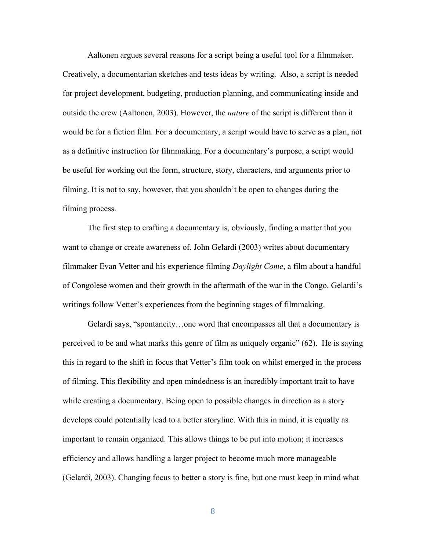Aaltonen argues several reasons for a script being a useful tool for a filmmaker. Creatively, a documentarian sketches and tests ideas by writing. Also, a script is needed for project development, budgeting, production planning, and communicating inside and outside the crew (Aaltonen, 2003). However, the *nature* of the script is different than it would be for a fiction film. For a documentary, a script would have to serve as a plan, not as a definitive instruction for filmmaking. For a documentary's purpose, a script would be useful for working out the form, structure, story, characters, and arguments prior to filming. It is not to say, however, that you shouldn't be open to changes during the filming process.

The first step to crafting a documentary is, obviously, finding a matter that you want to change or create awareness of. John Gelardi (2003) writes about documentary filmmaker Evan Vetter and his experience filming *Daylight Come*, a film about a handful of Congolese women and their growth in the aftermath of the war in the Congo. Gelardi's writings follow Vetter's experiences from the beginning stages of filmmaking.

Gelardi says, "spontaneity…one word that encompasses all that a documentary is perceived to be and what marks this genre of film as uniquely organic" (62). He is saying this in regard to the shift in focus that Vetter's film took on whilst emerged in the process of filming. This flexibility and open mindedness is an incredibly important trait to have while creating a documentary. Being open to possible changes in direction as a story develops could potentially lead to a better storyline. With this in mind, it is equally as important to remain organized. This allows things to be put into motion; it increases efficiency and allows handling a larger project to become much more manageable (Gelardi, 2003). Changing focus to better a story is fine, but one must keep in mind what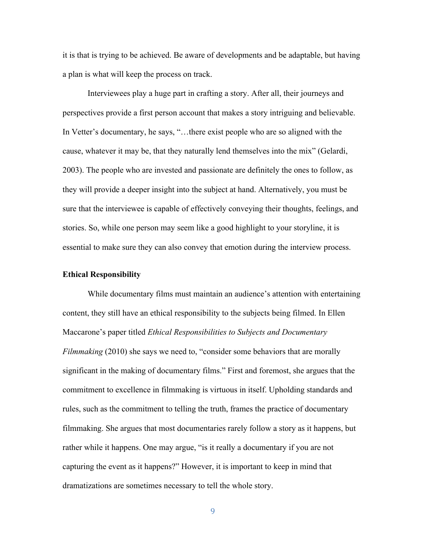it is that is trying to be achieved. Be aware of developments and be adaptable, but having a plan is what will keep the process on track.

Interviewees play a huge part in crafting a story. After all, their journeys and perspectives provide a first person account that makes a story intriguing and believable. In Vetter's documentary, he says, "…there exist people who are so aligned with the cause, whatever it may be, that they naturally lend themselves into the mix" (Gelardi, 2003). The people who are invested and passionate are definitely the ones to follow, as they will provide a deeper insight into the subject at hand. Alternatively, you must be sure that the interviewee is capable of effectively conveying their thoughts, feelings, and stories. So, while one person may seem like a good highlight to your storyline, it is essential to make sure they can also convey that emotion during the interview process.

### **Ethical Responsibility**

While documentary films must maintain an audience's attention with entertaining content, they still have an ethical responsibility to the subjects being filmed. In Ellen Maccarone's paper titled *Ethical Responsibilities to Subjects and Documentary Filmmaking* (2010) she says we need to, "consider some behaviors that are morally significant in the making of documentary films." First and foremost, she argues that the commitment to excellence in filmmaking is virtuous in itself. Upholding standards and rules, such as the commitment to telling the truth, frames the practice of documentary filmmaking. She argues that most documentaries rarely follow a story as it happens, but rather while it happens. One may argue, "is it really a documentary if you are not capturing the event as it happens?" However, it is important to keep in mind that dramatizations are sometimes necessary to tell the whole story.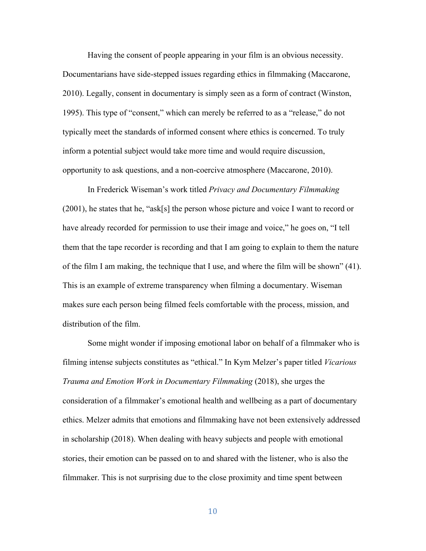Having the consent of people appearing in your film is an obvious necessity. Documentarians have side-stepped issues regarding ethics in filmmaking (Maccarone, 2010). Legally, consent in documentary is simply seen as a form of contract (Winston, 1995). This type of "consent," which can merely be referred to as a "release," do not typically meet the standards of informed consent where ethics is concerned. To truly inform a potential subject would take more time and would require discussion, opportunity to ask questions, and a non-coercive atmosphere (Maccarone, 2010).

In Frederick Wiseman's work titled *Privacy and Documentary Filmmaking*  (2001), he states that he, "ask[s] the person whose picture and voice I want to record or have already recorded for permission to use their image and voice," he goes on, "I tell them that the tape recorder is recording and that I am going to explain to them the nature of the film I am making, the technique that I use, and where the film will be shown" (41). This is an example of extreme transparency when filming a documentary. Wiseman makes sure each person being filmed feels comfortable with the process, mission, and distribution of the film.

Some might wonder if imposing emotional labor on behalf of a filmmaker who is filming intense subjects constitutes as "ethical." In Kym Melzer's paper titled *Vicarious Trauma and Emotion Work in Documentary Filmmaking* (2018), she urges the consideration of a filmmaker's emotional health and wellbeing as a part of documentary ethics. Melzer admits that emotions and filmmaking have not been extensively addressed in scholarship (2018). When dealing with heavy subjects and people with emotional stories, their emotion can be passed on to and shared with the listener, who is also the filmmaker. This is not surprising due to the close proximity and time spent between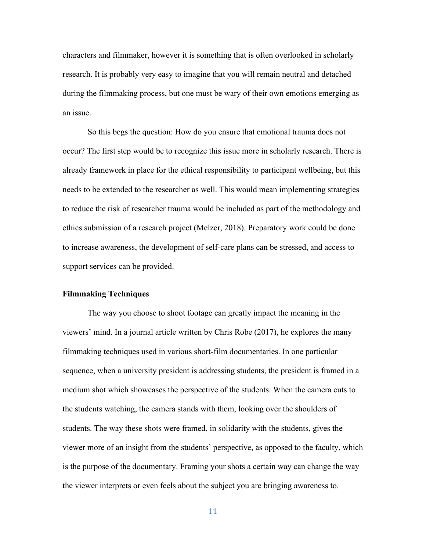characters and filmmaker, however it is something that is often overlooked in scholarly research. It is probably very easy to imagine that you will remain neutral and detached during the filmmaking process, but one must be wary of their own emotions emerging as an issue.

So this begs the question: How do you ensure that emotional trauma does not occur? The first step would be to recognize this issue more in scholarly research. There is already framework in place for the ethical responsibility to participant wellbeing, but this needs to be extended to the researcher as well. This would mean implementing strategies to reduce the risk of researcher trauma would be included as part of the methodology and ethics submission of a research project (Melzer, 2018). Preparatory work could be done to increase awareness, the development of self-care plans can be stressed, and access to support services can be provided.

#### **Filmmaking Techniques**

The way you choose to shoot footage can greatly impact the meaning in the viewers' mind. In a journal article written by Chris Robe (2017), he explores the many filmmaking techniques used in various short-film documentaries. In one particular sequence, when a university president is addressing students, the president is framed in a medium shot which showcases the perspective of the students. When the camera cuts to the students watching, the camera stands with them, looking over the shoulders of students. The way these shots were framed, in solidarity with the students, gives the viewer more of an insight from the students' perspective, as opposed to the faculty, which is the purpose of the documentary. Framing your shots a certain way can change the way the viewer interprets or even feels about the subject you are bringing awareness to.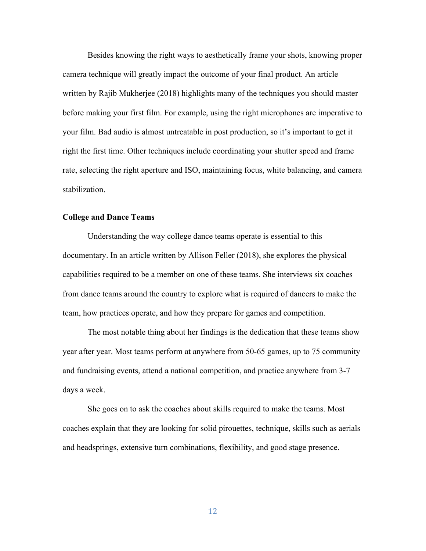Besides knowing the right ways to aesthetically frame your shots, knowing proper camera technique will greatly impact the outcome of your final product. An article written by Rajib Mukherjee (2018) highlights many of the techniques you should master before making your first film. For example, using the right microphones are imperative to your film. Bad audio is almost untreatable in post production, so it's important to get it right the first time. Other techniques include coordinating your shutter speed and frame rate, selecting the right aperture and ISO, maintaining focus, white balancing, and camera stabilization.

#### **College and Dance Teams**

Understanding the way college dance teams operate is essential to this documentary. In an article written by Allison Feller (2018), she explores the physical capabilities required to be a member on one of these teams. She interviews six coaches from dance teams around the country to explore what is required of dancers to make the team, how practices operate, and how they prepare for games and competition.

The most notable thing about her findings is the dedication that these teams show year after year. Most teams perform at anywhere from 50-65 games, up to 75 community and fundraising events, attend a national competition, and practice anywhere from 3-7 days a week.

She goes on to ask the coaches about skills required to make the teams. Most coaches explain that they are looking for solid pirouettes, technique, skills such as aerials and headsprings, extensive turn combinations, flexibility, and good stage presence.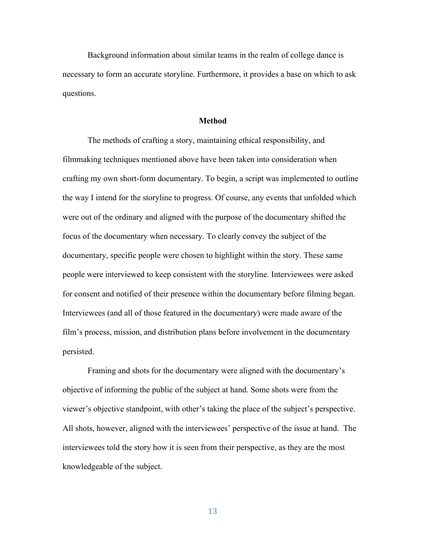Background information about similar teams in the realm of college dance is necessary to form an accurate storyline. Furthermore, it provides a base on which to ask questions.

#### **Method**

The methods of crafting a story, maintaining ethical responsibility, and filmmaking techniques mentioned above have been taken into consideration when crafting my own short-form documentary. To begin, a script was implemented to outline the way I intend for the storyline to progress. Of course, any events that unfolded which were out of the ordinary and aligned with the purpose of the documentary shifted the focus of the documentary when necessary. To clearly convey the subject of the documentary, specific people were chosen to highlight within the story. These same people were interviewed to keep consistent with the storyline. Interviewees were asked for consent and notified of their presence within the documentary before filming began. Interviewees (and all of those featured in the documentary) were made aware of the film's process, mission, and distribution plans before involvement in the documentary persisted.

Framing and shots for the documentary were aligned with the documentary's objective of informing the public of the subject at hand. Some shots were from the viewer's objective standpoint, with other's taking the place of the subject's perspective. All shots, however, aligned with the interviewees' perspective of the issue at hand. The interviewees told the story how it is seen from their perspective, as they are the most knowledgeable of the subject.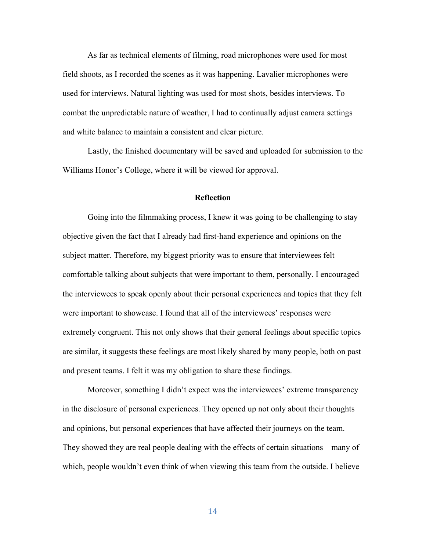As far as technical elements of filming, road microphones were used for most field shoots, as I recorded the scenes as it was happening. Lavalier microphones were used for interviews. Natural lighting was used for most shots, besides interviews. To combat the unpredictable nature of weather, I had to continually adjust camera settings and white balance to maintain a consistent and clear picture.

Lastly, the finished documentary will be saved and uploaded for submission to the Williams Honor's College, where it will be viewed for approval.

#### **Reflection**

Going into the filmmaking process, I knew it was going to be challenging to stay objective given the fact that I already had first-hand experience and opinions on the subject matter. Therefore, my biggest priority was to ensure that interviewees felt comfortable talking about subjects that were important to them, personally. I encouraged the interviewees to speak openly about their personal experiences and topics that they felt were important to showcase. I found that all of the interviewees' responses were extremely congruent. This not only shows that their general feelings about specific topics are similar, it suggests these feelings are most likely shared by many people, both on past and present teams. I felt it was my obligation to share these findings.

Moreover, something I didn't expect was the interviewees' extreme transparency in the disclosure of personal experiences. They opened up not only about their thoughts and opinions, but personal experiences that have affected their journeys on the team. They showed they are real people dealing with the effects of certain situations—many of which, people wouldn't even think of when viewing this team from the outside. I believe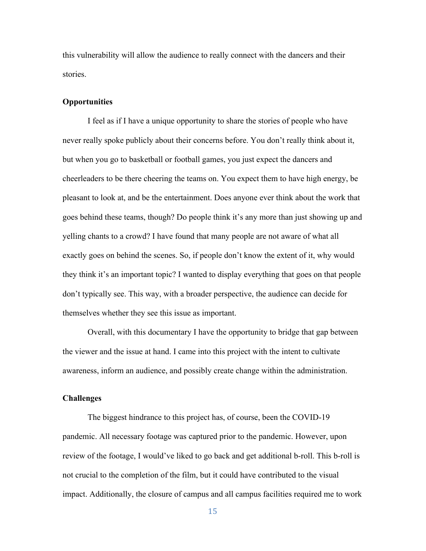this vulnerability will allow the audience to really connect with the dancers and their stories.

# **Opportunities**

I feel as if I have a unique opportunity to share the stories of people who have never really spoke publicly about their concerns before. You don't really think about it, but when you go to basketball or football games, you just expect the dancers and cheerleaders to be there cheering the teams on. You expect them to have high energy, be pleasant to look at, and be the entertainment. Does anyone ever think about the work that goes behind these teams, though? Do people think it's any more than just showing up and yelling chants to a crowd? I have found that many people are not aware of what all exactly goes on behind the scenes. So, if people don't know the extent of it, why would they think it's an important topic? I wanted to display everything that goes on that people don't typically see. This way, with a broader perspective, the audience can decide for themselves whether they see this issue as important.

Overall, with this documentary I have the opportunity to bridge that gap between the viewer and the issue at hand. I came into this project with the intent to cultivate awareness, inform an audience, and possibly create change within the administration.

# **Challenges**

The biggest hindrance to this project has, of course, been the COVID-19 pandemic. All necessary footage was captured prior to the pandemic. However, upon review of the footage, I would've liked to go back and get additional b-roll. This b-roll is not crucial to the completion of the film, but it could have contributed to the visual impact. Additionally, the closure of campus and all campus facilities required me to work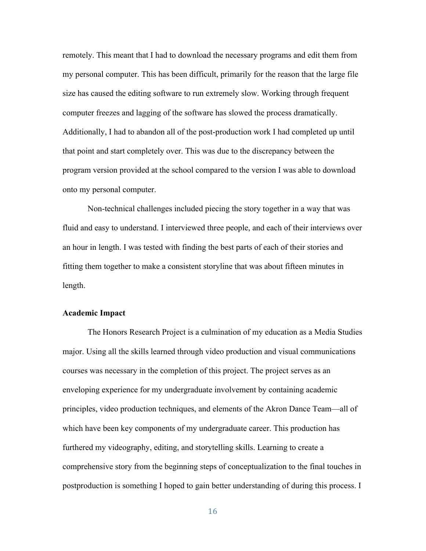remotely. This meant that I had to download the necessary programs and edit them from my personal computer. This has been difficult, primarily for the reason that the large file size has caused the editing software to run extremely slow. Working through frequent computer freezes and lagging of the software has slowed the process dramatically. Additionally, I had to abandon all of the post-production work I had completed up until that point and start completely over. This was due to the discrepancy between the program version provided at the school compared to the version I was able to download onto my personal computer.

Non-technical challenges included piecing the story together in a way that was fluid and easy to understand. I interviewed three people, and each of their interviews over an hour in length. I was tested with finding the best parts of each of their stories and fitting them together to make a consistent storyline that was about fifteen minutes in length.

# **Academic Impact**

The Honors Research Project is a culmination of my education as a Media Studies major. Using all the skills learned through video production and visual communications courses was necessary in the completion of this project. The project serves as an enveloping experience for my undergraduate involvement by containing academic principles, video production techniques, and elements of the Akron Dance Team—all of which have been key components of my undergraduate career. This production has furthered my videography, editing, and storytelling skills. Learning to create a comprehensive story from the beginning steps of conceptualization to the final touches in postproduction is something I hoped to gain better understanding of during this process. I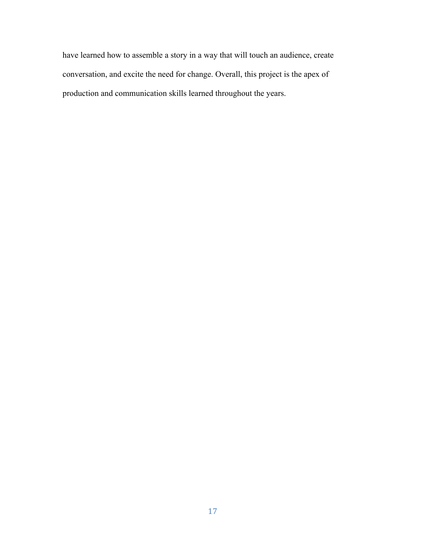have learned how to assemble a story in a way that will touch an audience, create conversation, and excite the need for change. Overall, this project is the apex of production and communication skills learned throughout the years.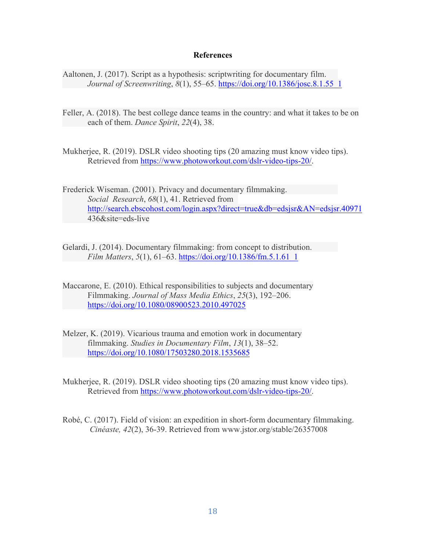### **References**

- Aaltonen, J. (2017). Script as a hypothesis: scriptwriting for documentary film. *Journal of Screenwriting*, *8*(1), 55–65. https://doi.org/10.1386/josc.8.1.55\_1
- Feller, A. (2018). The best college dance teams in the country: and what it takes to be on each of them. *Dance Spirit*, *22*(4), 38.
- Mukherjee, R. (2019). DSLR video shooting tips (20 amazing must know video tips). Retrieved from https://www.photoworkout.com/dslr-video-tips-20/.
- Frederick Wiseman. (2001). Privacy and documentary filmmaking. *Social Research*, *68*(1), 41. Retrieved from http://search.ebscohost.com/login.aspx?direct=true&db=edsjsr&AN=edsjsr.40971 436&site=eds-live
- Gelardi, J. (2014). Documentary filmmaking: from concept to distribution. *Film Matters*, *5*(1), 61–63. https://doi.org/10.1386/fm.5.1.61\_1
- Maccarone, E. (2010). Ethical responsibilities to subjects and documentary Filmmaking. *Journal of Mass Media Ethics*, *25*(3), 192–206. https://doi.org/10.1080/08900523.2010.497025
- Melzer, K. (2019). Vicarious trauma and emotion work in documentary filmmaking. *Studies in Documentary Film*, *13*(1), 38–52. https://doi.org/10.1080/17503280.2018.1535685
- Mukherjee, R. (2019). DSLR video shooting tips (20 amazing must know video tips). Retrieved from https://www.photoworkout.com/dslr-video-tips-20/.
- Robé, C. (2017). Field of vision: an expedition in short-form documentary filmmaking. *Cinéaste, 42*(2), 36-39. Retrieved from www.jstor.org/stable/26357008